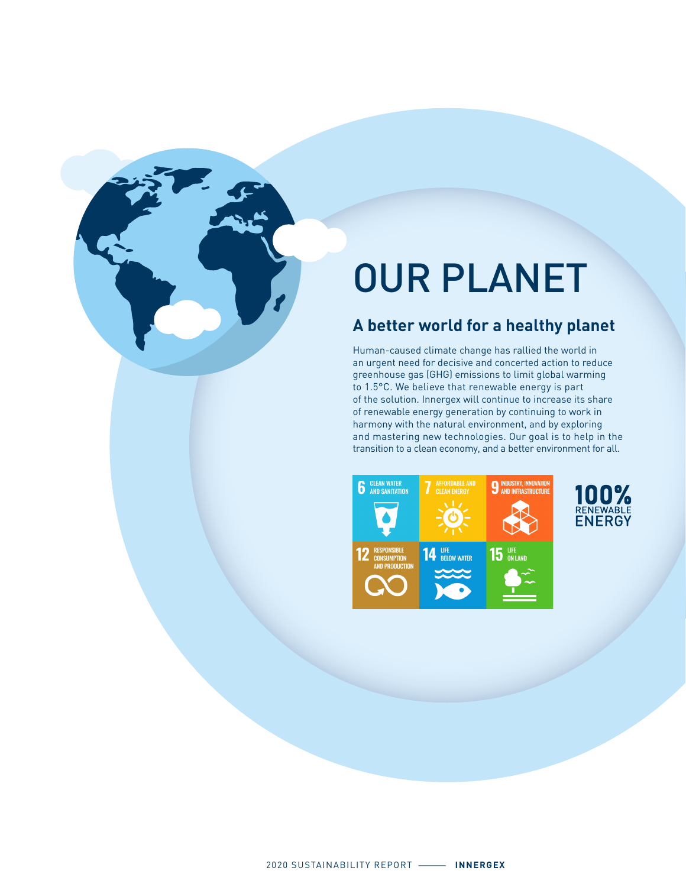# OUR PLANET

#### **A better world for a healthy planet**

Human-caused climate change has rallied the world in an urgent need for decisive and concerted action to reduce greenhouse gas (GHG) emissions to limit global warming to 1.5°C. We believe that renewable energy is part of the solution. Innergex will continue to increase its share of renewable energy generation by continuing to work in harmony with the natural environment, and by exploring and mastering new technologies. Our goal is to help in the transition to a clean economy, and a better environment for all.

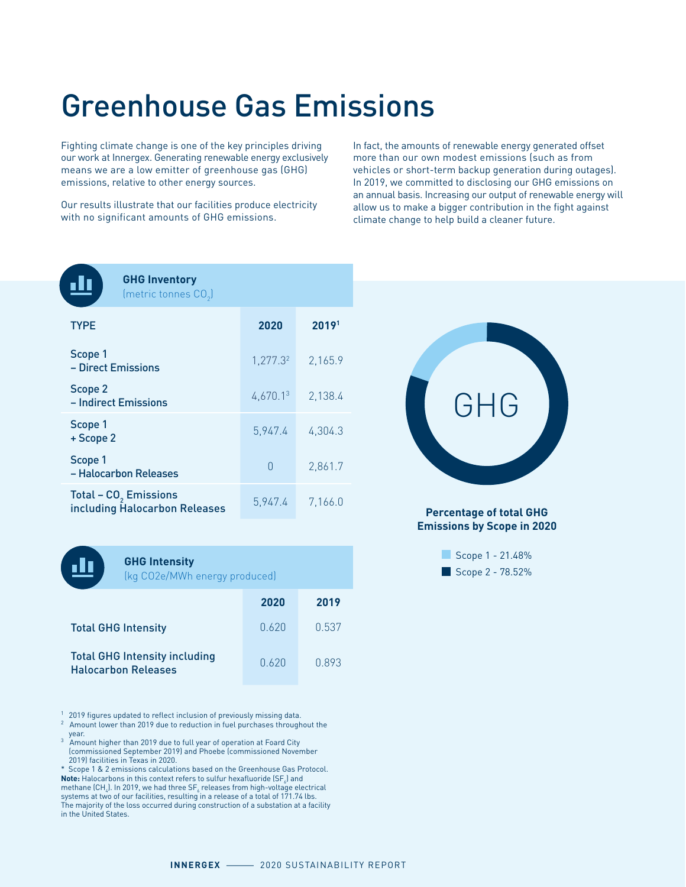## Greenhouse Gas Emissions

Fighting climate change is one of the key principles driving our work at Innergex. Generating renewable energy exclusively means we are a low emitter of greenhouse gas (GHG) emissions, relative to other energy sources.

Our results illustrate that our facilities produce electricity with no significant amounts of GHG emissions.

In fact, the amounts of renewable energy generated offset more than our own modest emissions (such as from vehicles or short-term backup generation during outages). In 2019, we committed to disclosing our GHG emissions on an annual basis. Increasing our output of renewable energy will allow us to make a bigger contribution in the fight against climate change to help build a cleaner future.

**GHG Inventory**

| (metric tonnes $CO2$ )                                             |          |         |
|--------------------------------------------------------------------|----------|---------|
| <b>TYPE</b>                                                        | 2020     | 20191   |
| Scope 1<br>– Direct Emissions                                      | 1,277.32 | 2,165.9 |
| Scope 2<br>– Indirect Emissions                                    | 4,670.13 | 2,138.4 |
| Scope 1<br>+ Scope 2                                               | 5,947.4  | 4.304.3 |
| Scope 1<br>- Halocarbon Releases                                   | O        | 2,861.7 |
| Total - CO <sub>2</sub> Emissions<br>including Halocarbon Releases | 5,947.4  | 7,166.0 |



#### **GHG Intensity**

(kg CO2e/MWh energy produced)

|                                                                    | 2020  | 2019  |
|--------------------------------------------------------------------|-------|-------|
| <b>Total GHG Intensity</b>                                         | 0.620 | 0.537 |
| <b>Total GHG Intensity including</b><br><b>Halocarbon Releases</b> | 0.620 | 0.893 |

<sup>1</sup> 2019 figures updated to reflect inclusion of previously missing data.

- $2$  Amount lower than 2019 due to reduction in fuel purchases throughout the year. 3 Amount higher than 2019 due to full year of operation at Foard City
- (commissioned September 2019) and Phoebe (commissioned November 2019) facilities in Texas in 2020.

\* Scope 1 & 2 emissions calculations based on the Greenhouse Gas Protocol. **Note:** Halocarbons in this context refers to sulfur hexafluoride  $(SF<sub>6</sub>)$  and methane (CH $_{_4}$ ). In 2019, we had three SF $_{_6}$  releases from high-voltage electrical systems at two of our facilities, resulting in a release of a total of 171.74 lbs. The majority of the loss occurred during construction of a substation at a facility in the United States.



**Percentage of total GHG Emissions by Scope in 2020**

| Scope 1 - 21.48% |  |
|------------------|--|
| Scope 2 - 78.52% |  |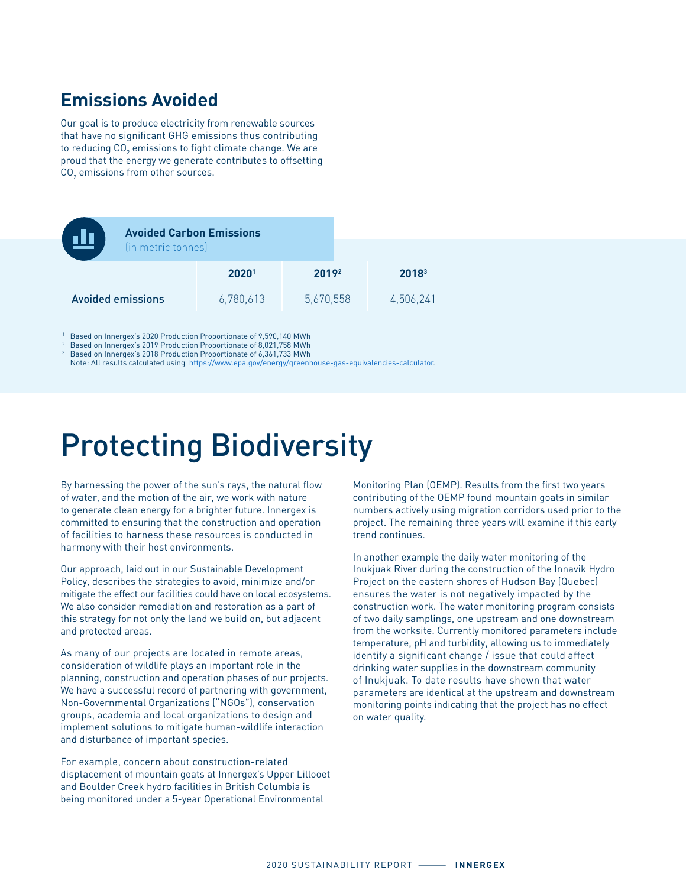#### **Emissions Avoided**

Our goal is to produce electricity from renewable sources that have no significant GHG emissions thus contributing to reducing CO $_{\textrm{\tiny{2}}}$  emissions to fight climate change. We are proud that the energy we generate contributes to offsetting  $\mathtt{CO}_2$  emissions from other sources.

| <b>Avoided Carbon Emissions</b><br>(in metric tonnes) |                   |           |                   |
|-------------------------------------------------------|-------------------|-----------|-------------------|
|                                                       | 2020 <sup>1</sup> | 2019      | 2018 <sup>3</sup> |
| <b>Avoided emissions</b>                              | 6,780,613         | 5,670,558 | 4,506,241         |

1 Based on Innergex's 2020 Production Proportionate of 9,590,140 MWh

<sup>2</sup> Based on Innergex's 2019 Production Proportionate of 8,021,758 MWh

Based on Innergex's 2018 Production Proportionate of 6,361,733 MWh

Note: All results calculated using [https://www.epa.gov/energy/greenhouse-gas-equivalencies-calculator.](https://www.epa.gov/energy/greenhouse-gas-equivalencies-calculator)

## Protecting Biodiversity

By harnessing the power of the sun's rays, the natural flow of water, and the motion of the air, we work with nature to generate clean energy for a brighter future. Innergex is committed to ensuring that the construction and operation of facilities to harness these resources is conducted in harmony with their host environments.

Our approach, laid out in our Sustainable Development Policy, describes the strategies to avoid, minimize and/or mitigate the effect our facilities could have on local ecosystems. We also consider remediation and restoration as a part of this strategy for not only the land we build on, but adjacent and protected areas.

As many of our projects are located in remote areas, consideration of wildlife plays an important role in the planning, construction and operation phases of our projects. We have a successful record of partnering with government, Non-Governmental Organizations ("NGOs"), conservation groups, academia and local organizations to design and implement solutions to mitigate human-wildlife interaction and disturbance of important species.

For example, concern about construction-related displacement of mountain goats at Innergex's Upper Lillooet and Boulder Creek hydro facilities in British Columbia is being monitored under a 5-year Operational Environmental

Monitoring Plan (OEMP). Results from the first two years contributing of the OEMP found mountain goats in similar numbers actively using migration corridors used prior to the project. The remaining three years will examine if this early trend continues.

In another example the daily water monitoring of the Inukjuak River during the construction of the Innavik Hydro Project on the eastern shores of Hudson Bay (Quebec) ensures the water is not negatively impacted by the construction work. The water monitoring program consists of two daily samplings, one upstream and one downstream from the worksite. Currently monitored parameters include temperature, pH and turbidity, allowing us to immediately identify a significant change / issue that could affect drinking water supplies in the downstream community of Inukjuak. To date results have shown that water parameters are identical at the upstream and downstream monitoring points indicating that the project has no effect on water quality.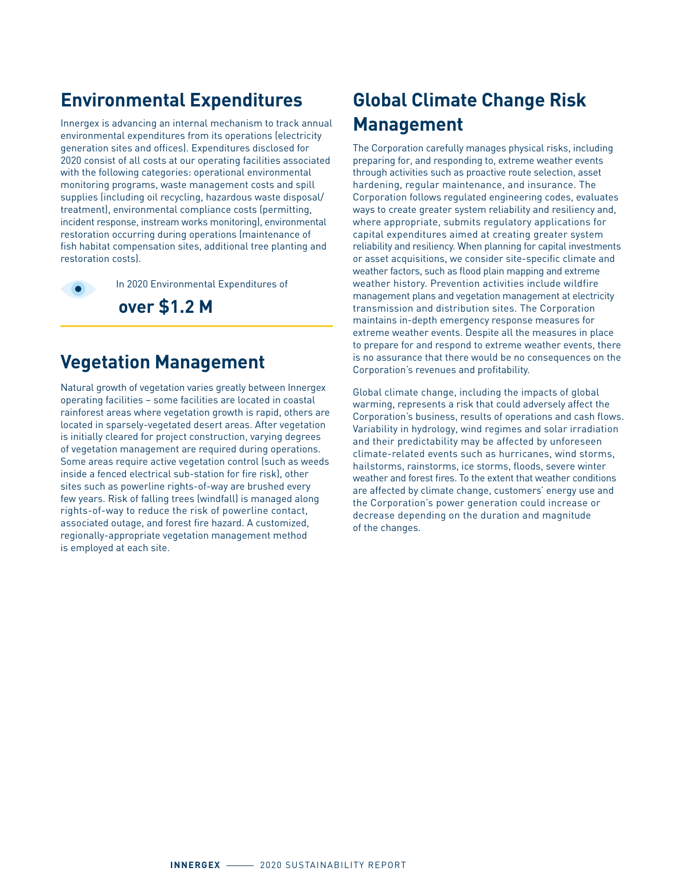### **Environmental Expenditures**

Innergex is advancing an internal mechanism to track annual environmental expenditures from its operations (electricity generation sites and offices). Expenditures disclosed for 2020 consist of all costs at our operating facilities associated with the following categories: operational environmental monitoring programs, waste management costs and spill supplies (including oil recycling, hazardous waste disposal/ treatment), environmental compliance costs (permitting, incident response, instream works monitoring), environmental restoration occurring during operations (maintenance of fish habitat compensation sites, additional tree planting and restoration costs).

In 2020 Environmental Expenditures of

**over \$1.2 M**

#### **Vegetation Management**

Natural growth of vegetation varies greatly between Innergex operating facilities – some facilities are located in coastal rainforest areas where vegetation growth is rapid, others are located in sparsely-vegetated desert areas. After vegetation is initially cleared for project construction, varying degrees of vegetation management are required during operations. Some areas require active vegetation control (such as weeds inside a fenced electrical sub-station for fire risk), other sites such as powerline rights-of-way are brushed every few years. Risk of falling trees (windfall) is managed along rights-of-way to reduce the risk of powerline contact, associated outage, and forest fire hazard. A customized, regionally-appropriate vegetation management method is employed at each site.

### **Global Climate Change Risk Management**

The Corporation carefully manages physical risks, including preparing for, and responding to, extreme weather events through activities such as proactive route selection, asset hardening, regular maintenance, and insurance. The Corporation follows regulated engineering codes, evaluates ways to create greater system reliability and resiliency and, where appropriate, submits regulatory applications for capital expenditures aimed at creating greater system reliability and resiliency. When planning for capital investments or asset acquisitions, we consider site-specific climate and weather factors, such as flood plain mapping and extreme weather history. Prevention activities include wildfire management plans and vegetation management at electricity transmission and distribution sites. The Corporation maintains in-depth emergency response measures for extreme weather events. Despite all the measures in place to prepare for and respond to extreme weather events, there is no assurance that there would be no consequences on the Corporation's revenues and profitability.

Global climate change, including the impacts of global warming, represents a risk that could adversely affect the Corporation's business, results of operations and cash flows. Variability in hydrology, wind regimes and solar irradiation and their predictability may be affected by unforeseen climate-related events such as hurricanes, wind storms, hailstorms, rainstorms, ice storms, floods, severe winter weather and forest fires. To the extent that weather conditions are affected by climate change, customers' energy use and the Corporation's power generation could increase or decrease depending on the duration and magnitude of the changes.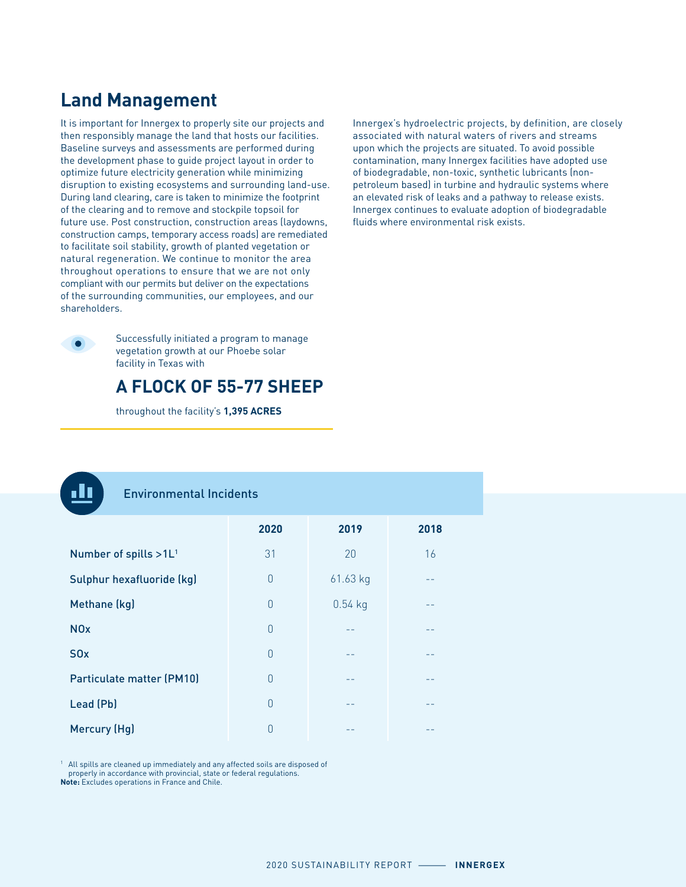### **Land Management**

It is important for Innergex to properly site our projects and then responsibly manage the land that hosts our facilities. Baseline surveys and assessments are performed during the development phase to guide project layout in order to optimize future electricity generation while minimizing disruption to existing ecosystems and surrounding land-use. During land clearing, care is taken to minimize the footprint of the clearing and to remove and stockpile topsoil for future use. Post construction, construction areas (laydowns, construction camps, temporary access roads) are remediated to facilitate soil stability, growth of planted vegetation or natural regeneration. We continue to monitor the area throughout operations to ensure that we are not only compliant with our permits but deliver on the expectations of the surrounding communities, our employees, and our shareholders.

Successfully initiated a program to manage vegetation growth at our Phoebe solar facility in Texas with



throughout the facility's **1,395 ACRES**

Innergex's hydroelectric projects, by definition, are closely associated with natural waters of rivers and streams upon which the projects are situated. To avoid possible contamination, many Innergex facilities have adopted use of biodegradable, non-toxic, synthetic lubricants (nonpetroleum based) in turbine and hydraulic systems where an elevated risk of leaks and a pathway to release exists. Innergex continues to evaluate adoption of biodegradable fluids where environmental risk exists.

#### Environmental Incidents

|                                   | 2020     | 2019      | 2018 |
|-----------------------------------|----------|-----------|------|
| Number of spills >1L <sup>1</sup> | 31       | 20        | 16   |
| Sulphur hexafluoride (kg)         | $\Omega$ | 61.63 kg  |      |
| Methane (kg)                      | $\Omega$ | $0.54$ kg |      |
| <b>NO<sub>x</sub></b>             | $\theta$ | --        | --   |
| S <sub>0</sub> x                  | $\theta$ | --        |      |
| Particulate matter (PM10)         | $\Omega$ |           |      |
| Lead (Pb)                         | $\Omega$ |           |      |
| Mercury (Hg)                      | 0        | --        | --   |

1 All spills are cleaned up immediately and any affected soils are disposed of properly in accordance with provincial, state or federal regulations. **Note:** Excludes operations in France and Chile.